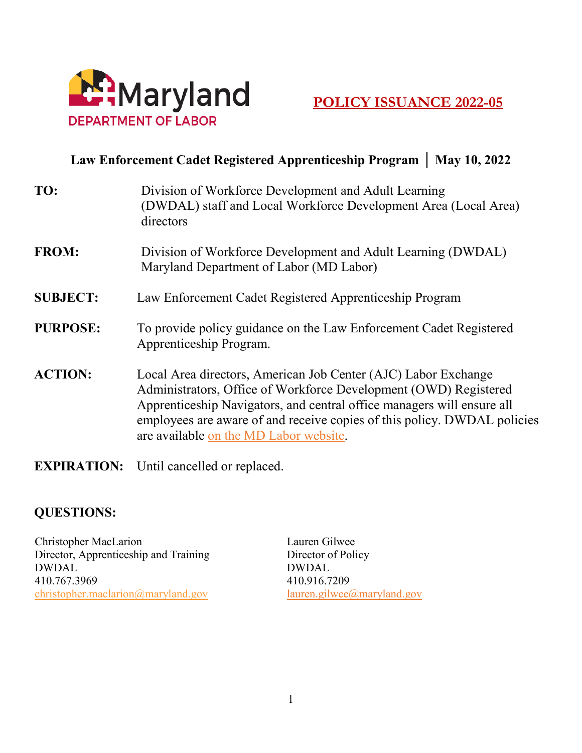

## **Law Enforcement Cadet Registered Apprenticeship Program │ May 10, 2022**

| TO:             | Division of Workforce Development and Adult Learning<br>(DWDAL) staff and Local Workforce Development Area (Local Area)<br>directors                                                                                                                                                                                               |
|-----------------|------------------------------------------------------------------------------------------------------------------------------------------------------------------------------------------------------------------------------------------------------------------------------------------------------------------------------------|
| <b>FROM:</b>    | Division of Workforce Development and Adult Learning (DWDAL)<br>Maryland Department of Labor (MD Labor)                                                                                                                                                                                                                            |
| <b>SUBJECT:</b> | Law Enforcement Cadet Registered Apprenticeship Program                                                                                                                                                                                                                                                                            |
| <b>PURPOSE:</b> | To provide policy guidance on the Law Enforcement Cadet Registered<br>Apprenticeship Program.                                                                                                                                                                                                                                      |
| <b>ACTION:</b>  | Local Area directors, American Job Center (AJC) Labor Exchange<br>Administrators, Office of Workforce Development (OWD) Registered<br>Apprenticeship Navigators, and central office managers will ensure all<br>employees are aware of and receive copies of this policy. DWDAL policies<br>are available on the MD Labor website. |

**EXPIRATION:** Until cancelled or replaced.

## **QUESTIONS:**

Christopher MacLarion Director, Apprenticeship and Training DWDAL 410.767.3969 [christopher.maclarion@maryland.gov](mailto:christopher.maclarion@maryland.gov) 

Lauren Gilwee Director of Policy DWDAL 410.916.7209 lauren.gilwee@maryland.gov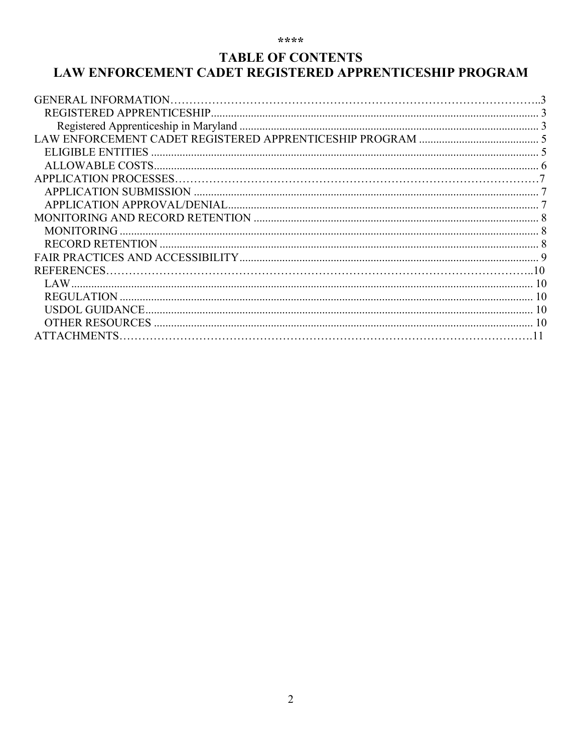#### \*\*\*\*

## **TABLE OF CONTENTS** LAW ENFORCEMENT CADET REGISTERED APPRENTICESHIP PROGRAM

| <b>MONITORING</b>      |  |
|------------------------|--|
|                        |  |
|                        |  |
| REFERENCES.            |  |
|                        |  |
|                        |  |
|                        |  |
| <b>OTHER RESOURCES</b> |  |
| <b>ATTACHMENTS</b>     |  |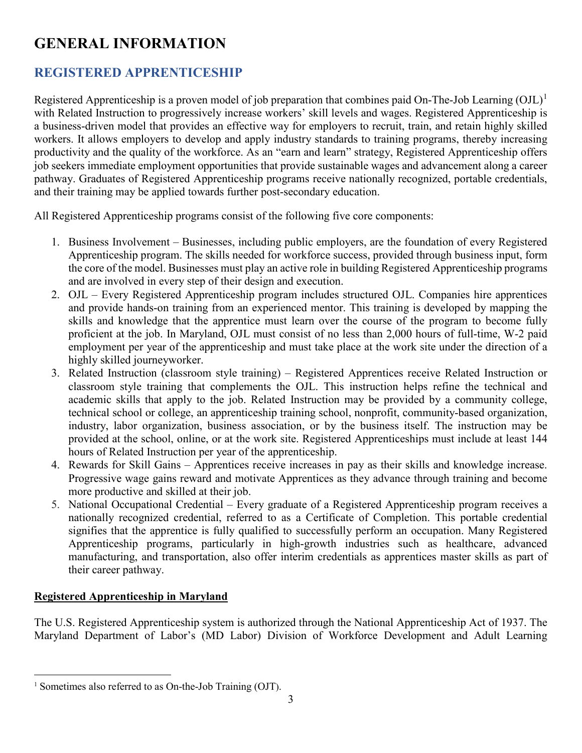## <span id="page-2-0"></span>**GENERAL INFORMATION**

## <span id="page-2-1"></span>**REGISTERED APPRENTICESHIP**

Registered Apprenticeship is a proven model of job preparation that combines paid On-The-Job Learning  $(OJL)^1$  $(OJL)^1$ with Related Instruction to progressively increase workers' skill levels and wages. Registered Apprenticeship is a business-driven model that provides an effective way for employers to recruit, train, and retain highly skilled workers. It allows employers to develop and apply industry standards to training programs, thereby increasing productivity and the quality of the workforce. As an "earn and learn" strategy, Registered Apprenticeship offers job seekers immediate employment opportunities that provide sustainable wages and advancement along a career pathway. Graduates of Registered Apprenticeship programs receive nationally recognized, portable credentials, and their training may be applied towards further post-secondary education.

All Registered Apprenticeship programs consist of the following five core components:

- 1. Business Involvement Businesses, including public employers, are the foundation of every Registered Apprenticeship program. The skills needed for workforce success, provided through business input, form the core of the model. Businesses must play an active role in building Registered Apprenticeship programs and are involved in every step of their design and execution.
- 2. OJL Every Registered Apprenticeship program includes structured OJL. Companies hire apprentices and provide hands-on training from an experienced mentor. This training is developed by mapping the skills and knowledge that the apprentice must learn over the course of the program to become fully proficient at the job. In Maryland, OJL must consist of no less than 2,000 hours of full-time, W-2 paid employment per year of the apprenticeship and must take place at the work site under the direction of a highly skilled journeyworker.
- 3. Related Instruction (classroom style training) Registered Apprentices receive Related Instruction or classroom style training that complements the OJL. This instruction helps refine the technical and academic skills that apply to the job. Related Instruction may be provided by a community college, technical school or college, an apprenticeship training school, nonprofit, community-based organization, industry, labor organization, business association, or by the business itself. The instruction may be provided at the school, online, or at the work site. Registered Apprenticeships must include at least 144 hours of Related Instruction per year of the apprenticeship.
- 4. Rewards for Skill Gains Apprentices receive increases in pay as their skills and knowledge increase. Progressive wage gains reward and motivate Apprentices as they advance through training and become more productive and skilled at their job.
- 5. National Occupational Credential Every graduate of a Registered Apprenticeship program receives a nationally recognized credential, referred to as a Certificate of Completion. This portable credential signifies that the apprentice is fully qualified to successfully perform an occupation. Many Registered Apprenticeship programs, particularly in high-growth industries such as healthcare, advanced manufacturing, and transportation, also offer interim credentials as apprentices master skills as part of their career pathway.

## <span id="page-2-2"></span>**Registered Apprenticeship in Maryland**

 $\overline{a}$ 

The U.S. Registered Apprenticeship system is authorized through the National Apprenticeship Act of 1937. The Maryland Department of Labor's (MD Labor) Division of Workforce Development and Adult Learning

<span id="page-2-3"></span><sup>&</sup>lt;sup>1</sup> Sometimes also referred to as On-the-Job Training (OJT).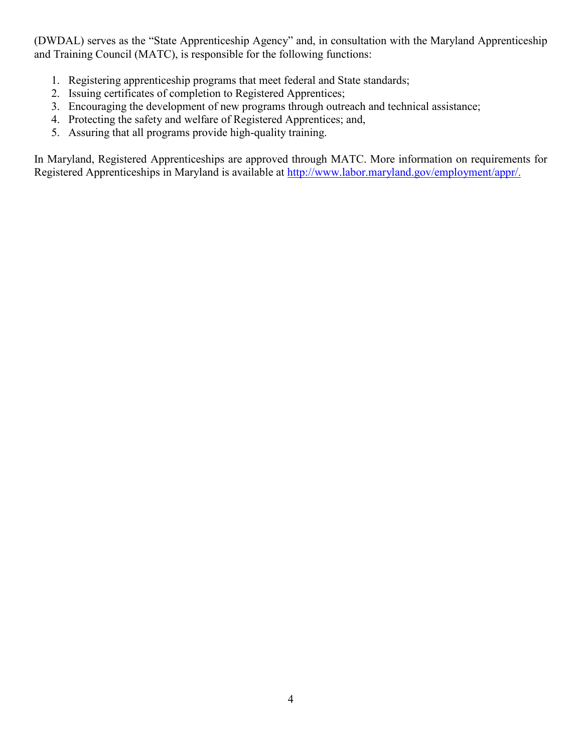(DWDAL) serves as the "State Apprenticeship Agency" and, in consultation with the Maryland Apprenticeship and Training Council (MATC), is responsible for the following functions:

- 1. Registering apprenticeship programs that meet federal and State standards;
- 2. Issuing certificates of completion to Registered Apprentices;
- 3. Encouraging the development of new programs through outreach and technical assistance;
- 4. Protecting the safety and welfare of Registered Apprentices; and,
- 5. Assuring that all programs provide high-quality training.

In Maryland, Registered Apprenticeships are approved through MATC. More information on requirements for Registered Apprenticeships in Maryland is available at [http://www.labor.maryland.gov/employment/appr/.](http://www.labor.maryland.gov/employment/appr/)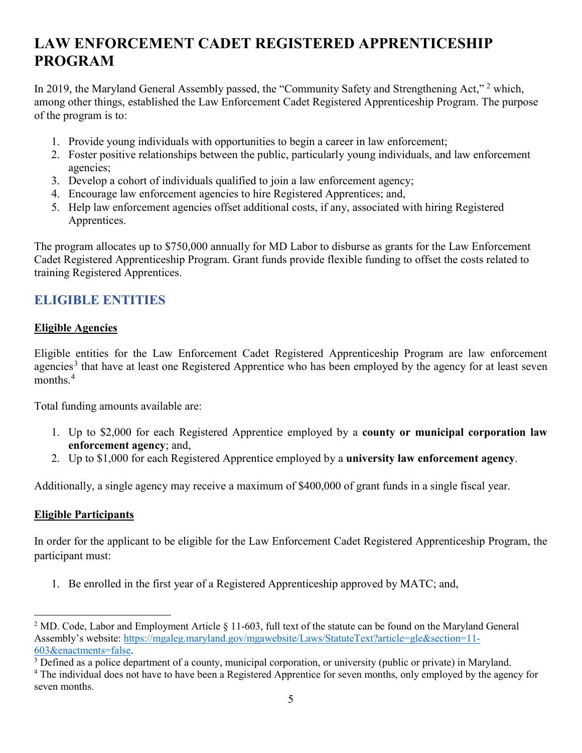## <span id="page-4-0"></span>**LAW ENFORCEMENT CADET REGISTERED APPRENTICESHIP PROGRAM**

In [2](#page-4-2)019, the Maryland General Assembly passed, the "Community Safety and Strengthening Act," <sup>2</sup> which, among other things, established the Law Enforcement Cadet Registered Apprenticeship Program. The purpose of the program is to:

- 1. Provide young individuals with opportunities to begin a career in law enforcement;
- 2. Foster positive relationships between the public, particularly young individuals, and law enforcement agencies;
- 3. Develop a cohort of individuals qualified to join a law enforcement agency;
- 4. Encourage law enforcement agencies to hire Registered Apprentices; and,
- 5. Help law enforcement agencies offset additional costs, if any, associated with hiring Registered Apprentices.

The program allocates up to \$750,000 annually for MD Labor to disburse as grants for the Law Enforcement Cadet Registered Apprenticeship Program. Grant funds provide flexible funding to offset the costs related to training Registered Apprentices.

## <span id="page-4-1"></span>**ELIGIBLE ENTITIES**

#### **Eligible Agencies**

Eligible entities for the Law Enforcement Cadet Registered Apprenticeship Program are law enforcement agencies<sup>[3](#page-4-3)</sup> that have at least one Registered Apprentice who has been employed by the agency for at least seven months $4$ 

Total funding amounts available are:

- 1. Up to \$2,000 for each Registered Apprentice employed by a **county or municipal corporation law enforcement agency**; and,
- 2. Up to \$1,000 for each Registered Apprentice employed by a **university law enforcement agency**.

Additionally, a single agency may receive a maximum of \$400,000 of grant funds in a single fiscal year.

#### **Eligible Participants**

 $\overline{a}$ 

In order for the applicant to be eligible for the Law Enforcement Cadet Registered Apprenticeship Program, the participant must:

1. Be enrolled in the first year of a Registered Apprenticeship approved by MATC; and,

<span id="page-4-2"></span><sup>&</sup>lt;sup>2</sup> MD. Code, Labor and Employment Article  $\S 11$ -603, full text of the statute can be found on the Maryland General Assembly's website: [https://mgaleg.maryland.gov/mgawebsite/Laws/StatuteText?article=gle&section=11-](https://mgaleg.maryland.gov/mgawebsite/Laws/StatuteText?article=gle§ion=11-603&enactments=false)

<span id="page-4-3"></span>[<sup>603&</sup>amp;enactments=false.](https://mgaleg.maryland.gov/mgawebsite/Laws/StatuteText?article=gle§ion=11-603&enactments=false)<br><sup>3</sup> Defined as a police department of a county, municipal corporation, or university (public or private) in Maryland.

<span id="page-4-4"></span><sup>&</sup>lt;sup>4</sup> The individual does not have to have been a Registered Apprentice for seven months, only employed by the agency for seven months.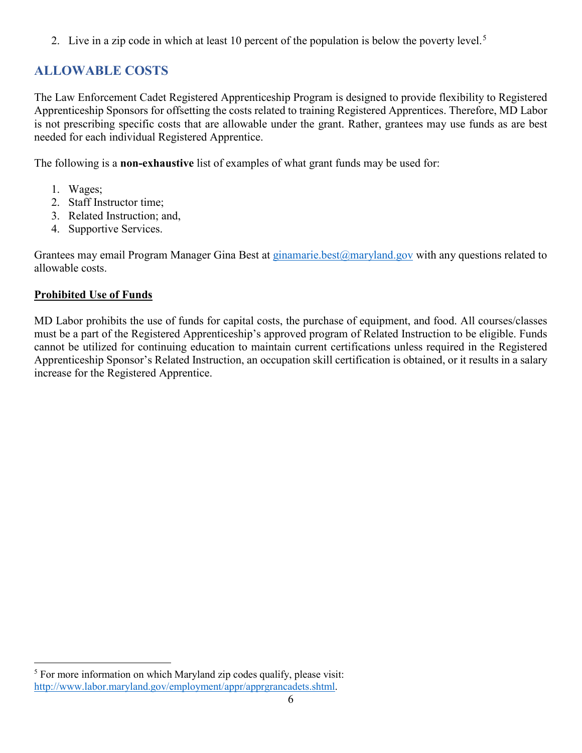2. Live in a zip code in which at least 10 percent of the population is below the poverty level.<sup>[5](#page-5-1)</sup>

## <span id="page-5-0"></span>**ALLOWABLE COSTS**

The Law Enforcement Cadet Registered Apprenticeship Program is designed to provide flexibility to Registered Apprenticeship Sponsors for offsetting the costs related to training Registered Apprentices. Therefore, MD Labor is not prescribing specific costs that are allowable under the grant. Rather, grantees may use funds as are best needed for each individual Registered Apprentice.

The following is a **non-exhaustive** list of examples of what grant funds may be used for:

- 1. Wages;
- 2. Staff Instructor time;
- 3. Related Instruction; and,
- 4. Supportive Services.

Grantees may email Program Manager Gina Best at ginamarie.best@maryland.gov with any questions related to allowable costs.

## **Prohibited Use of Funds**

MD Labor prohibits the use of funds for capital costs, the purchase of equipment, and food. All courses/classes must be a part of the Registered Apprenticeship's approved program of Related Instruction to be eligible. Funds cannot be utilized for continuing education to maintain current certifications unless required in the Registered Apprenticeship Sponsor's Related Instruction, an occupation skill certification is obtained, or it results in a salary increase for the Registered Apprentice.

<span id="page-5-1"></span> $\overline{a}$ <sup>5</sup> For more information on which Maryland zip codes qualify, please visit: [http://www.labor.maryland.gov/employment/appr/apprgrancadets.shtml.](http://www.labor.maryland.gov/employment/appr/apprgrancadets.shtml)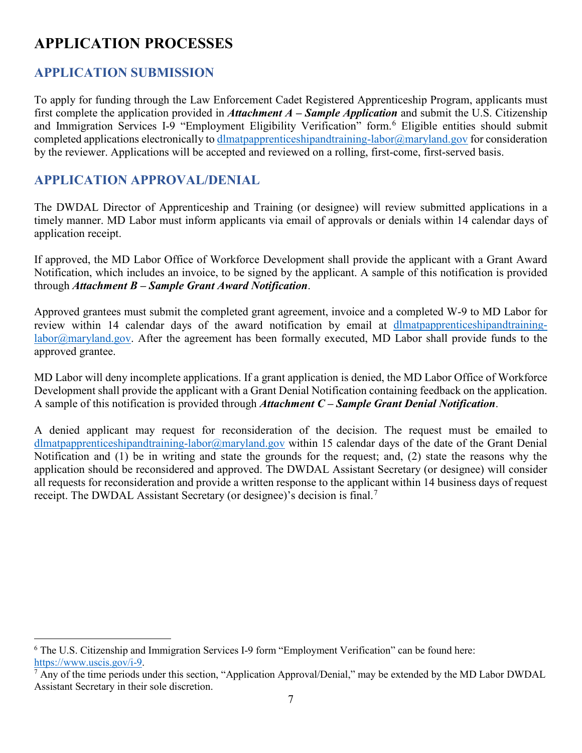## <span id="page-6-0"></span>**APPLICATION PROCESSES**

## <span id="page-6-1"></span>**APPLICATION SUBMISSION**

To apply for funding through the Law Enforcement Cadet Registered Apprenticeship Program, applicants must first complete the application provided in *Attachment A – Sample Application* and submit the U.S. Citizenship and Immigration Services I-9 "Employment Eligibility Verification" form.<sup>[6](#page-6-3)</sup> Eligible entities should submit completed applications electronically to dlmatpapprenticeshipandtraining-labor@maryland.gov for consideration by the reviewer. Applications will be accepted and reviewed on a rolling, first-come, first-served basis.

## <span id="page-6-2"></span>**APPLICATION APPROVAL/DENIAL**

The DWDAL Director of Apprenticeship and Training (or designee) will review submitted applications in a timely manner. MD Labor must inform applicants via email of approvals or denials within 14 calendar days of application receipt.

If approved, the MD Labor Office of Workforce Development shall provide the applicant with a Grant Award Notification, which includes an invoice, to be signed by the applicant. A sample of this notification is provided through *Attachment B – Sample Grant Award Notification*.

Approved grantees must submit the completed grant agreement, invoice and a completed W-9 to MD Labor for review within 14 calendar days of the award notification by email at dlmatpapprenticeshipandtraininglabor@maryland.gov. After the agreement has been formally executed, MD Labor shall provide funds to the approved grantee.

MD Labor will deny incomplete applications. If a grant application is denied, the MD Labor Office of Workforce Development shall provide the applicant with a Grant Denial Notification containing feedback on the application. A sample of this notification is provided through *Attachment C – Sample Grant Denial Notification*.

A denied applicant may request for reconsideration of the decision. The request must be emailed to dlmatpapprenticeshipandtraining-labor@maryland.gov within 15 calendar days of the date of the Grant Denial Notification and (1) be in writing and state the grounds for the request; and, (2) state the reasons why the application should be reconsidered and approved. The DWDAL Assistant Secretary (or designee) will consider all requests for reconsideration and provide a written response to the applicant within 14 business days of request receipt. The DWDAL Assistant Secretary (or designee)'s decision is final.<sup>[7](#page-6-4)</sup>

<span id="page-6-3"></span> $\overline{a}$ <sup>6</sup> The U.S. Citizenship and Immigration Services I-9 form "Employment Verification" can be found here: [https://www.uscis.gov/i-9.](https://www.uscis.gov/i-9)

<span id="page-6-4"></span><sup>&</sup>lt;sup>7</sup> Any of the time periods under this section, "Application Approval/Denial," may be extended by the MD Labor DWDAL Assistant Secretary in their sole discretion.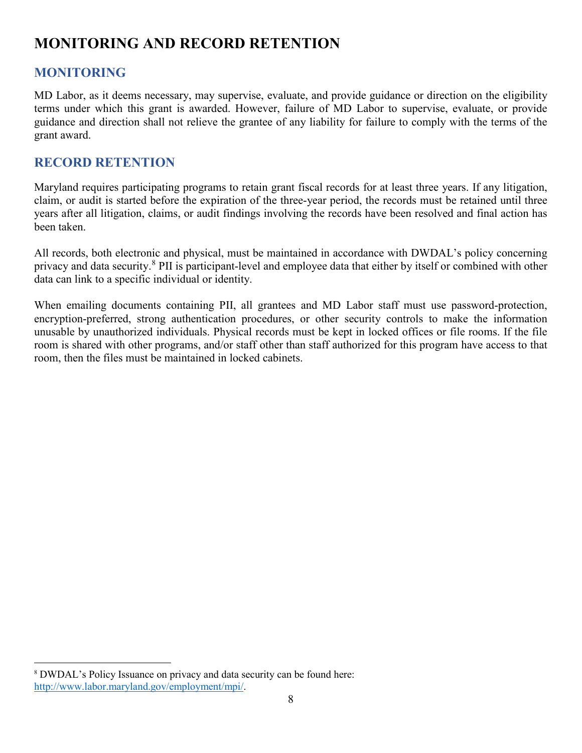## <span id="page-7-0"></span>**MONITORING AND RECORD RETENTION**

## <span id="page-7-1"></span>**MONITORING**

 $\overline{a}$ 

MD Labor, as it deems necessary, may supervise, evaluate, and provide guidance or direction on the eligibility terms under which this grant is awarded. However, failure of MD Labor to supervise, evaluate, or provide guidance and direction shall not relieve the grantee of any liability for failure to comply with the terms of the grant award.

## <span id="page-7-2"></span>**RECORD RETENTION**

Maryland requires participating programs to retain grant fiscal records for at least three years. If any litigation, claim, or audit is started before the expiration of the three-year period, the records must be retained until three years after all litigation, claims, or audit findings involving the records have been resolved and final action has been taken.

All records, both electronic and physical, must be maintained in accordance with DWDAL's policy concerning privacy and data security.<sup>[8](#page-7-3)</sup> PII is participant-level and employee data that either by itself or combined with other data can link to a specific individual or identity.

When emailing documents containing PII, all grantees and MD Labor staff must use password-protection, encryption-preferred, strong authentication procedures, or other security controls to make the information unusable by unauthorized individuals. Physical records must be kept in locked offices or file rooms. If the file room is shared with other programs, and/or staff other than staff authorized for this program have access to that room, then the files must be maintained in locked cabinets.

<span id="page-7-3"></span><sup>8</sup> DWDAL's Policy Issuance on privacy and data security can be found here: [http://www.labor.maryland.gov/employment/mpi/.](http://www.labor.maryland.gov/employment/mpi/)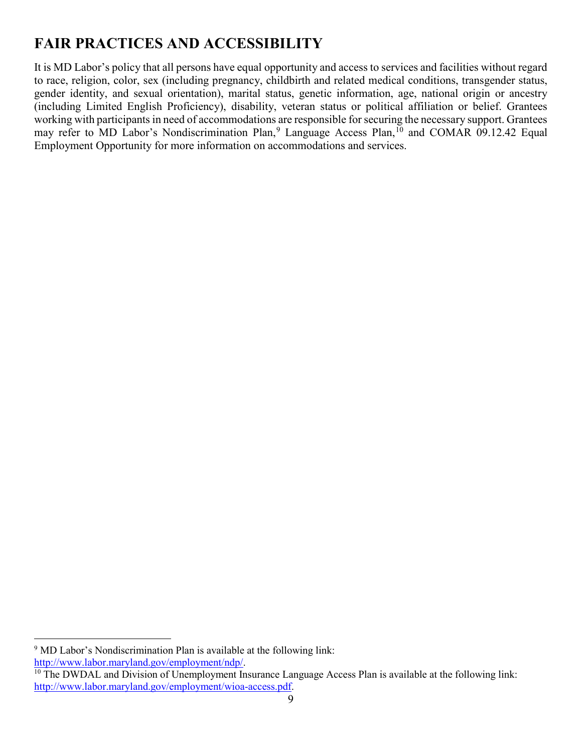## <span id="page-8-0"></span>**FAIR PRACTICES AND ACCESSIBILITY**

It is MD Labor's policy that all persons have equal opportunity and access to services and facilities without regard to race, religion, color, sex (including pregnancy, childbirth and related medical conditions, transgender status, gender identity, and sexual orientation), marital status, genetic information, age, national origin or ancestry (including Limited English Proficiency), disability, veteran status or political affiliation or belief. Grantees working with participants in need of accommodations are responsible for securing the necessary support. Grantees may refer to MD Labor's Nondiscrimination Plan,<sup>[9](#page-8-1)</sup> Language Access Plan,<sup>10</sup> and COMAR 09.12.42 Equal Employment Opportunity for more information on accommodations and services.

<span id="page-8-1"></span> $\overline{a}$ <sup>9</sup> MD Labor's Nondiscrimination Plan is available at the following link:<br>http://www.labor.maryland.gov/employment/ndp/.

<span id="page-8-2"></span> $\frac{10}{10}$  The DWDAL and Division of Unemployment Insurance Language Access Plan is available at the following link: [http://www.labor.maryland.gov/employment/wioa-access.pdf.](http://www.labor.maryland.gov/employment/wioa-access.pdf)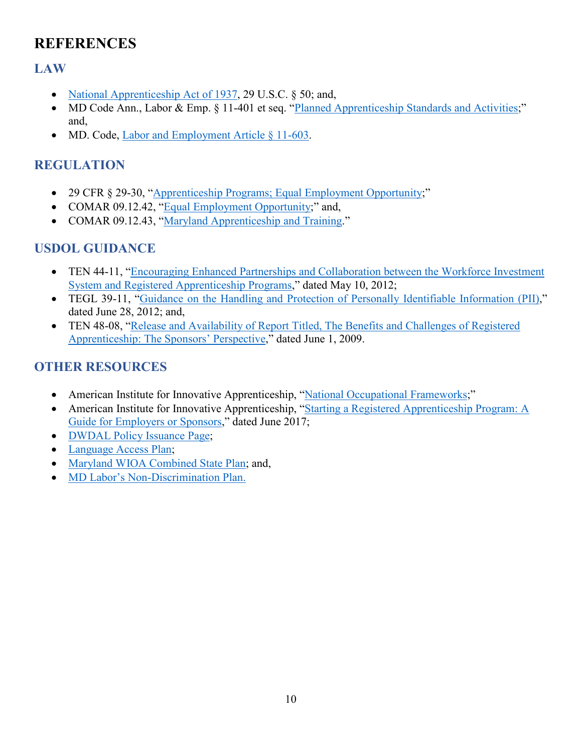## <span id="page-9-0"></span>**REFERENCES**

## <span id="page-9-1"></span>**LAW**

- [National Apprenticeship Act of 1937,](https://www.govinfo.gov/content/pkg/USCODE-2010-title29/html/USCODE-2010-title29-chap4C-sec50.htm) 29 U.S.C. § 50; and,
- MD Code Ann., Labor & Emp. § 11-401 et seq. ["Planned Apprenticeship Standards and Activities;](https://mgaleg.maryland.gov/mgawebsite/Laws/StatuteText?article=gle§ion=11-401&enactments=true)" and,
- MD. Code, [Labor and Employment Article § 11-603.](https://mgaleg.maryland.gov/mgawebsite/Laws/StatuteText?article=gle§ion=11-603&enactments=false)

## <span id="page-9-2"></span>**REGULATION**

- 29 CFR § 29-30, ["Apprenticeship Programs; Equal Employment Opportunity;](https://www.govinfo.gov/content/pkg/FR-2016-12-19/pdf/2016-29910.pdf)"
- COMAR 09.12.42, ["Equal Employment Opportunity;](http://www.dsd.state.md.us/comar/comarhtml/09/09.12.42.01.htm)" and,
- COMAR 09.12.43, ["Maryland Apprenticeship and Training.](http://mdrules.elaws.us/comar/09.12.43)"

## <span id="page-9-3"></span>**USDOL GUIDANCE**

- TEN 44-11, "Encouraging Enhanced Partnerships and Collaboration between the Workforce Investment [System and Registered Apprenticeship Programs,](https://wdr.doleta.gov/directives/attach/TEN/ten2011/ten44-11.pdf)" dated May 10, 2012;
- TEGL 39-11, ["Guidance on the Handling and Protection of Personally Identifiable Information \(PII\),](http://wdr.doleta.gov/directives/attach/TEGL/TEGL_39_11.pdf)" dated June 28, 2012; and,
- TEN 48-08, ["Release and Availability of Report Titled, The Benefits and Challenges of Registered](https://wdr.doleta.gov/directives/attach/TEN/ten2008/TEN48-08acc.pdf)  [Apprenticeship: The Sponsors' Perspective,](https://wdr.doleta.gov/directives/attach/TEN/ten2008/TEN48-08acc.pdf)" dated June 1, 2009.

## <span id="page-9-4"></span>**OTHER RESOURCES**

- American Institute for Innovative Apprenticeship, ["National Occupational Frameworks;](https://innovativeapprenticeship.org/national-occupational-frameworks-2/)"
- American Institute for Innovative Apprenticeship, ["Starting a Registered Apprenticeship Program: A](https://innovativeapprenticeship.org/wp-content/uploads/2017/06/Employer-Guide_June-2017.pdf)  [Guide for Employers or Sponsors,](https://innovativeapprenticeship.org/wp-content/uploads/2017/06/Employer-Guide_June-2017.pdf)" dated June 2017;
- **[DWDAL Policy Issuance Page;](http://www.labor.maryland.gov/employment/mpi/)**
- [Language Access Plan;](http://www.labor.maryland.gov/employment/wioa-access.pdf)
- [Maryland WIOA Combined State Plan;](http://www.labor.maryland.gov/wdplan/wdstateplan.pdf) and,
- [MD Labor's Non-Discrimination Plan.](http://www.labor.maryland.gov/employment/ndp/)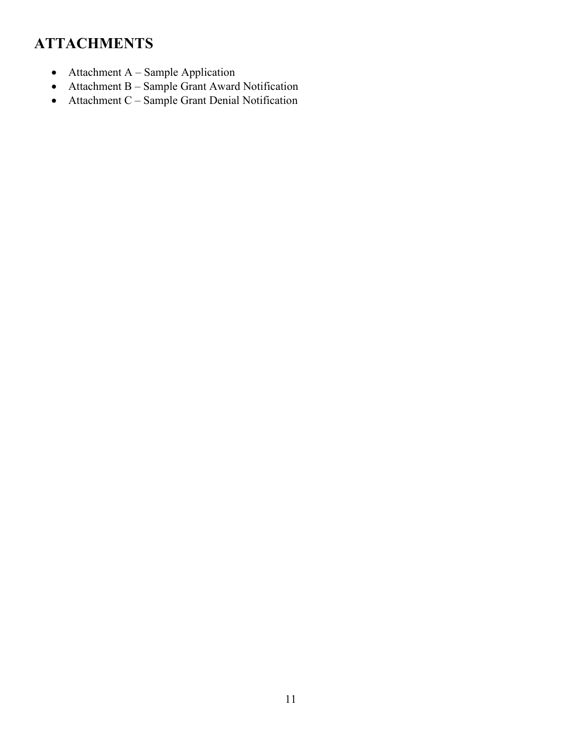## <span id="page-10-0"></span>**ATTACHMENTS**

- Attachment A Sample Application
- Attachment B Sample Grant Award Notification
- Attachment C Sample Grant Denial Notification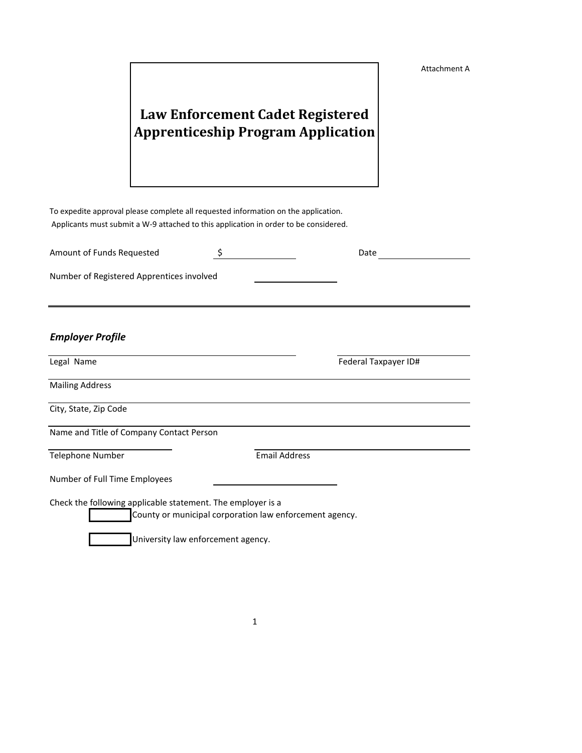Attachment A

## **Law Enforcement Cadet Registered Apprenticeship Program Application**

To expedite approval please complete all requested information on the application. Applicants must submit a W-9 attached to this application in order to be considered.

| Amount of Funds Requested                 | Date |
|-------------------------------------------|------|
| Number of Registered Apprentices involved |      |
|                                           |      |

#### *Employer Profile*

Legal Name **Federal Taxpayer ID Federal Taxpayer ID Federal Taxpayer ID Federal** 

Mailing Address

City, State, Zip Code

Name and Title of Company Contact Person

Telephone Number **Email Address** 

Number of Full Time Employees

Check the following applicable statement. The employer is a

County or municipal corporation law enforcement agency.

University law enforcement agency.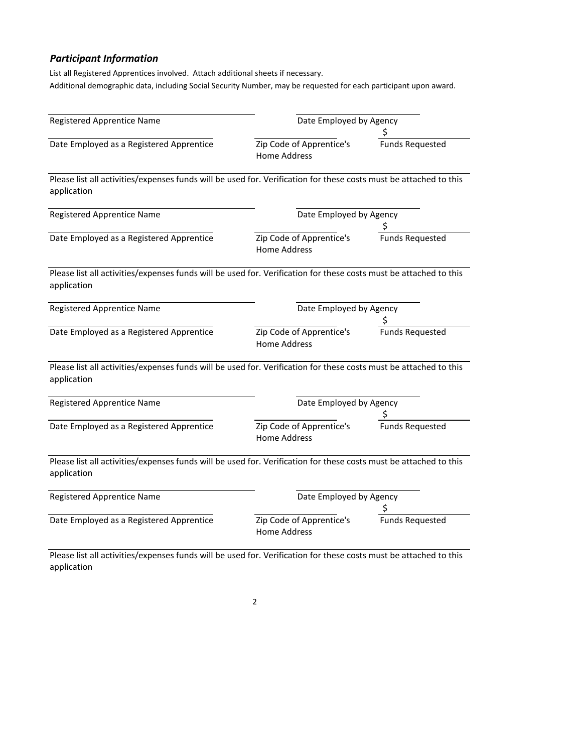## *Participant Information*

List all Registered Apprentices involved. Attach additional sheets if necessary. Additional demographic data, including Social Security Number, may be requested for each participant upon award.

| <b>Registered Apprentice Name</b>                                                                                                | Date Employed by Agency                         |                        |  |
|----------------------------------------------------------------------------------------------------------------------------------|-------------------------------------------------|------------------------|--|
| Date Employed as a Registered Apprentice                                                                                         | Zip Code of Apprentice's<br><b>Home Address</b> | <b>Funds Requested</b> |  |
| Please list all activities/expenses funds will be used for. Verification for these costs must be attached to this<br>application |                                                 |                        |  |
| <b>Registered Apprentice Name</b>                                                                                                | Date Employed by Agency                         |                        |  |
| Date Employed as a Registered Apprentice                                                                                         | Zip Code of Apprentice's<br><b>Home Address</b> | <b>Funds Requested</b> |  |
| Please list all activities/expenses funds will be used for. Verification for these costs must be attached to this<br>application |                                                 |                        |  |
| <b>Registered Apprentice Name</b>                                                                                                | Date Employed by Agency                         |                        |  |
| Date Employed as a Registered Apprentice                                                                                         | Zip Code of Apprentice's<br><b>Home Address</b> | <b>Funds Requested</b> |  |
| Please list all activities/expenses funds will be used for. Verification for these costs must be attached to this<br>application |                                                 |                        |  |
| <b>Registered Apprentice Name</b>                                                                                                | Date Employed by Agency                         |                        |  |
| Date Employed as a Registered Apprentice                                                                                         | Zip Code of Apprentice's<br><b>Home Address</b> | <b>Funds Requested</b> |  |
| Please list all activities/expenses funds will be used for. Verification for these costs must be attached to this<br>application |                                                 |                        |  |
| <b>Registered Apprentice Name</b>                                                                                                | Date Employed by Agency                         |                        |  |
| Date Employed as a Registered Apprentice                                                                                         | Zip Code of Apprentice's<br><b>Home Address</b> | <b>Funds Requested</b> |  |
| place list all activities (expenses funds will be used for Merification for these sests must be attached to this                 |                                                 |                        |  |

Please list all activities/expenses funds will be used for. Verification for these costs must be attached to this application

2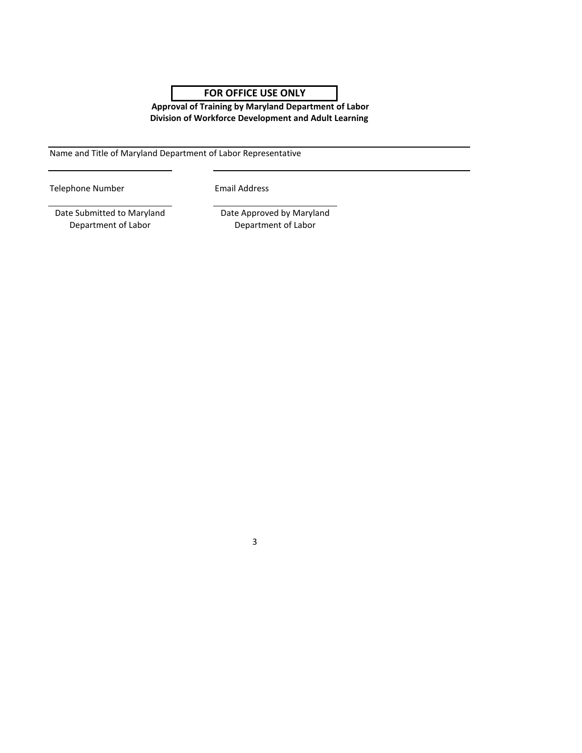## **FOR OFFICE USE ONLY**

**Division of Workforce Development and Adult Learning Approval of Training by Maryland Department of Labor**

Name and Title of Maryland Department of Labor Representative

Telephone Number **Email Address** 

3

Date Submitted to Maryland Department of Labor

Date Approved by Maryland Department of Labor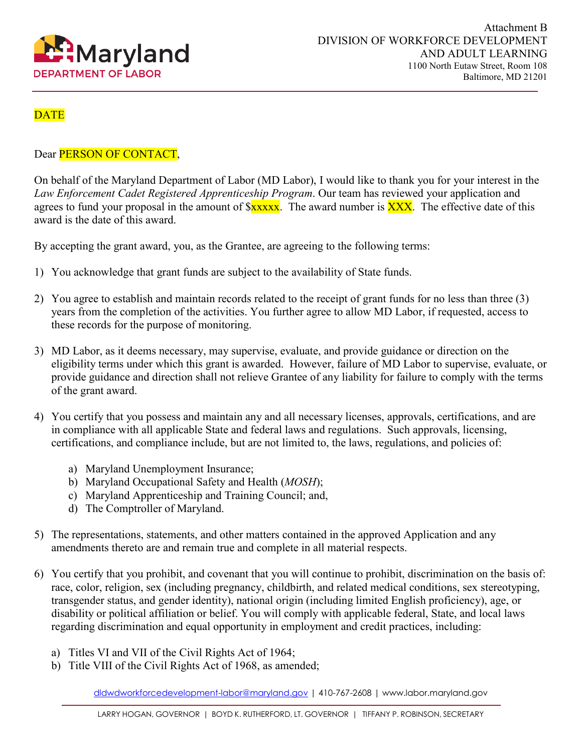

## **DATE**

#### Dear PERSON OF CONTACT,

On behalf of the Maryland Department of Labor (MD Labor), I would like to thank you for your interest in the *Law Enforcement Cadet Registered Apprenticeship Program*. Our team has reviewed your application and agrees to fund your proposal in the amount of  $xxxx$ . The award number is  $\overline{XXX}$ . The effective date of this award is the date of this award.

By accepting the grant award, you, as the Grantee, are agreeing to the following terms:

- 1) You acknowledge that grant funds are subject to the availability of State funds.
- 2) You agree to establish and maintain records related to the receipt of grant funds for no less than three (3) years from the completion of the activities. You further agree to allow MD Labor, if requested, access to these records for the purpose of monitoring.
- 3) MD Labor, as it deems necessary, may supervise, evaluate, and provide guidance or direction on the eligibility terms under which this grant is awarded. However, failure of MD Labor to supervise, evaluate, or provide guidance and direction shall not relieve Grantee of any liability for failure to comply with the terms of the grant award.
- 4) You certify that you possess and maintain any and all necessary licenses, approvals, certifications, and are in compliance with all applicable State and federal laws and regulations. Such approvals, licensing, certifications, and compliance include, but are not limited to, the laws, regulations, and policies of:
	- a) Maryland Unemployment Insurance;
	- b) Maryland Occupational Safety and Health (*MOSH*);
	- c) Maryland Apprenticeship and Training Council; and,
	- d) The Comptroller of Maryland.
- 5) The representations, statements, and other matters contained in the approved Application and any amendments thereto are and remain true and complete in all material respects.
- 6) You certify that you prohibit, and covenant that you will continue to prohibit, discrimination on the basis of: race, color, religion, sex (including pregnancy, childbirth, and related medical conditions, sex stereotyping, transgender status, and gender identity), national origin (including limited English proficiency), age, or disability or political affiliation or belief. You will comply with applicable federal, State, and local laws regarding discrimination and equal opportunity in employment and credit practices, including:
	- a) Titles VI and VII of the Civil Rights Act of 1964;
	- b) Title VIII of the Civil Rights Act of 1968, as amended;

[dldwdworkforcedevelopment-labor@maryland.gov](mailto:dldwdworkforcedevelopment-labor@maryland.gov) | 410-767-2608 | www.labor.maryland.gov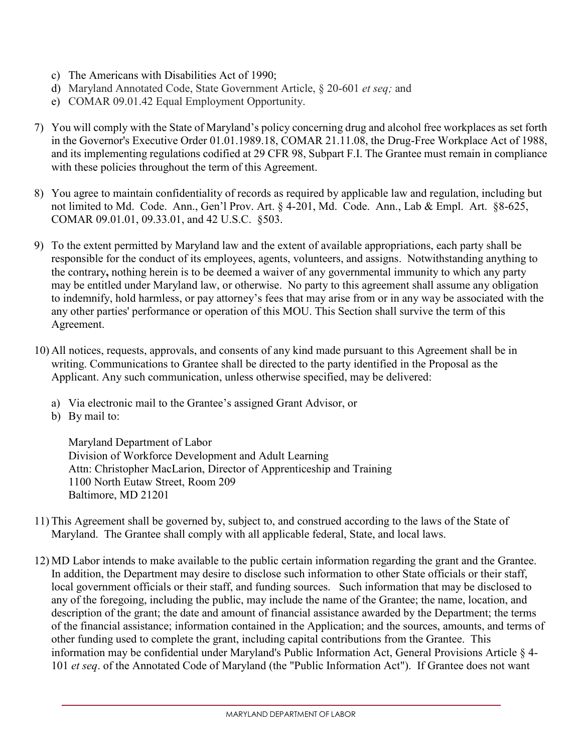- c) The Americans with Disabilities Act of 1990;
- d) Maryland Annotated Code, State Government Article, § 20-601 *et seq;* and
- e) COMAR 09.01.42 Equal Employment Opportunity.
- 7) You will comply with the State of Maryland's policy concerning drug and alcohol free workplaces as set forth in the Governor's Executive Order 01.01.1989.18, COMAR 21.11.08, the Drug-Free Workplace Act of 1988, and its implementing regulations codified at 29 CFR 98, Subpart F.I. The Grantee must remain in compliance with these policies throughout the term of this Agreement.
- 8) You agree to maintain confidentiality of records as required by applicable law and regulation, including but not limited to Md. Code. Ann., Gen'l Prov. Art. § 4-201, Md. Code. Ann., Lab & Empl. Art. §8-625, COMAR 09.01.01, 09.33.01, and 42 U.S.C. §503.
- 9) To the extent permitted by Maryland law and the extent of available appropriations, each party shall be responsible for the conduct of its employees, agents, volunteers, and assigns. Notwithstanding anything to the contrary**,** nothing herein is to be deemed a waiver of any governmental immunity to which any party may be entitled under Maryland law, or otherwise. No party to this agreement shall assume any obligation to indemnify, hold harmless, or pay attorney's fees that may arise from or in any way be associated with the any other parties' performance or operation of this MOU. This Section shall survive the term of this Agreement.
- 10) All notices, requests, approvals, and consents of any kind made pursuant to this Agreement shall be in writing. Communications to Grantee shall be directed to the party identified in the Proposal as the Applicant. Any such communication, unless otherwise specified, may be delivered:
	- a) Via electronic mail to the Grantee's assigned Grant Advisor, or
	- b) By mail to:

Maryland Department of Labor Division of Workforce Development and Adult Learning Attn: Christopher MacLarion, Director of Apprenticeship and Training 1100 North Eutaw Street, Room 209 Baltimore, MD 21201

- 11) This Agreement shall be governed by, subject to, and construed according to the laws of the State of Maryland. The Grantee shall comply with all applicable federal, State, and local laws.
- 12) MD Labor intends to make available to the public certain information regarding the grant and the Grantee. In addition, the Department may desire to disclose such information to other State officials or their staff, local government officials or their staff, and funding sources. Such information that may be disclosed to any of the foregoing, including the public, may include the name of the Grantee; the name, location, and description of the grant; the date and amount of financial assistance awarded by the Department; the terms of the financial assistance; information contained in the Application; and the sources, amounts, and terms of other funding used to complete the grant, including capital contributions from the Grantee. This information may be confidential under Maryland's Public Information Act, General Provisions Article § 4- 101 *et seq*. of the Annotated Code of Maryland (the "Public Information Act"). If Grantee does not want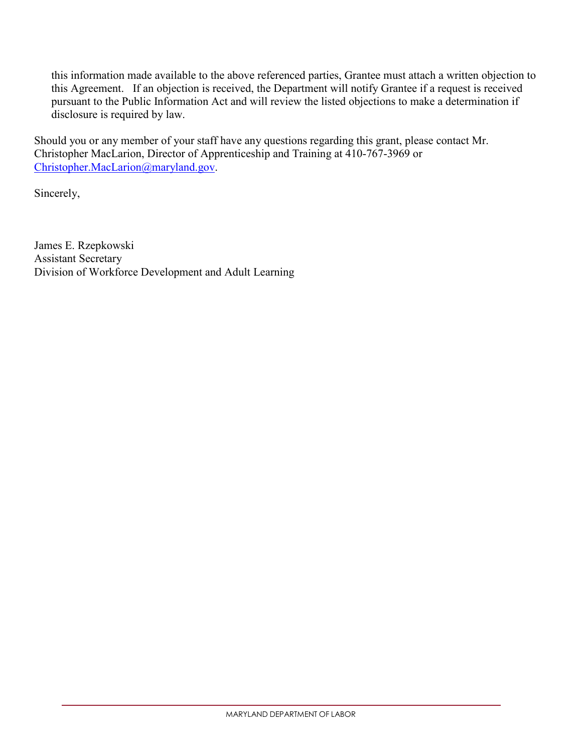this information made available to the above referenced parties, Grantee must attach a written objection to this Agreement. If an objection is received, the Department will notify Grantee if a request is received pursuant to the Public Information Act and will review the listed objections to make a determination if disclosure is required by law.

Should you or any member of your staff have any questions regarding this grant, please contact Mr. Christopher MacLarion, Director of Apprenticeship and Training at 410-767-3969 or [Christopher.MacLarion@maryland.gov.](mailto:Christopher.MacLarion@maryland.gov)

Sincerely,

James E. Rzepkowski Assistant Secretary Division of Workforce Development and Adult Learning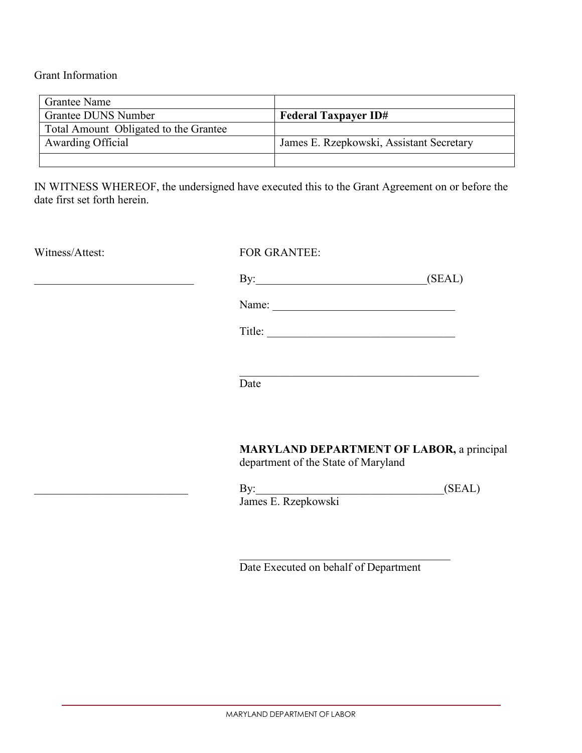Grant Information

| <b>Grantee Name</b>                   |                                          |  |
|---------------------------------------|------------------------------------------|--|
| Grantee DUNS Number                   | <b>Federal Taxpayer ID#</b>              |  |
| Total Amount Obligated to the Grantee |                                          |  |
| Awarding Official                     | James E. Rzepkowski, Assistant Secretary |  |
|                                       |                                          |  |

IN WITNESS WHEREOF, the undersigned have executed this to the Grant Agreement on or before the date first set forth herein.

#### Witness/Attest: FOR GRANTEE:

\_\_\_\_\_\_\_\_\_\_\_\_\_\_\_\_\_\_\_\_\_\_\_\_\_\_\_\_ By:\_\_\_\_\_\_\_\_\_\_\_\_\_\_\_\_\_\_\_\_\_\_\_\_\_\_\_\_\_\_(SEAL)

Name: \_\_\_\_\_\_\_\_\_\_\_\_\_\_\_\_\_\_\_\_\_\_\_\_\_\_\_\_\_\_\_\_

Title: \_\_\_\_\_\_\_\_\_\_\_\_\_\_\_\_\_\_\_\_\_\_\_\_\_\_\_\_\_\_\_\_\_

Date

#### **MARYLAND DEPARTMENT OF LABOR,** a principal department of the State of Maryland

 $\mbox{By:}\qquad \qquad \qquad \qquad \qquad \mbox{(SEAL)}$ James E. Rzepkowski

Date Executed on behalf of Department

\_\_\_\_\_\_\_\_\_\_\_\_\_\_\_\_\_\_\_\_\_\_\_\_\_\_\_\_\_\_\_\_\_\_\_\_\_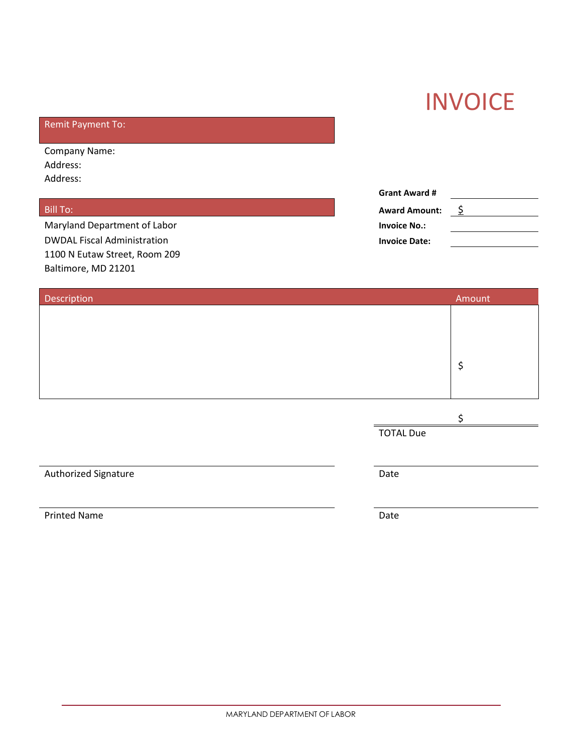# **INVOICE**

## Remit Payment To:

Company Name: Address: Address:

**Maryland Department of Labor DWDAL Fiscal Administration** 1100 N Eutaw Street, Room 209 Baltimore, MD 21201

|                              | <b>Grant Award #</b> |  |  |
|------------------------------|----------------------|--|--|
| Bill To:                     | <b>Award Amount:</b> |  |  |
| Maryland Department of Labor | <b>Invoice No.:</b>  |  |  |
| DWDAL Fiscal Administration  | <b>Invoice Date:</b> |  |  |

| Amount                   |
|--------------------------|
|                          |
|                          |
|                          |
| \$                       |
|                          |
|                          |
| \$                       |
|                          |
|                          |
|                          |
|                          |
|                          |
| <b>TOTAL Due</b><br>Date |

Printed Name Date